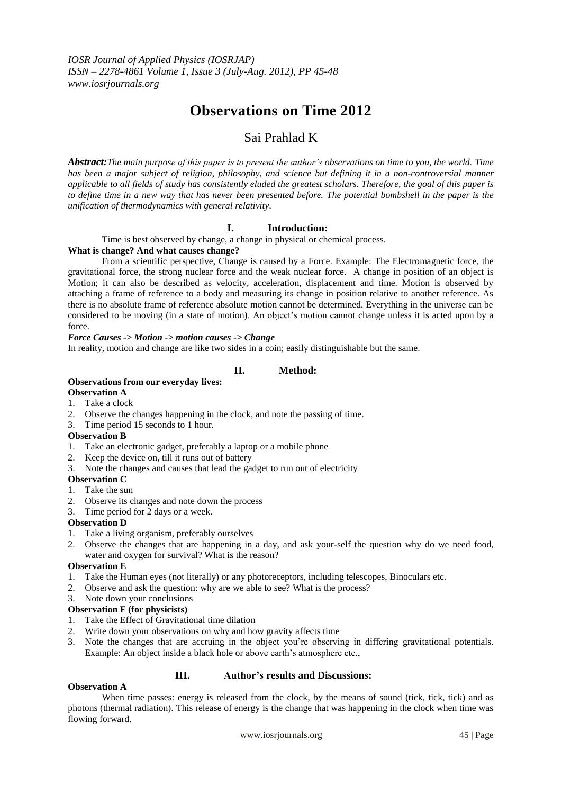# **Observations on Time 2012**

## Sai Prahlad K

*Abstract:The main purpose of this paper is to present the author's observations on time to you, the world. Time has been a major subject of [religion,](http://en.wikipedia.org/wiki/Religion) [philosophy,](http://en.wikipedia.org/wiki/Philosophy) and [science](http://en.wikipedia.org/wiki/Science) but defining it in a non-controversial manner applicable to all fields of study has consistently eluded the greatest scholars. Therefore, the goal of this paper is to define time in a new way that has never been presented before. The potential bombshell in the paper is the unification of thermodynamics with general relativity.* 

## **I. Introduction:**

Time is best observed by change, a change in physical or chemical process.

## **What is change? And what causes change?**

From a scientific perspective, Change is caused by a Force. Example: The Electromagnetic force, the gravitational force, the strong nuclear force and the weak nuclear force. A change in position of an object is Motion; it can also be described as velocity, acceleration, displacement and time. Motion is observed by attaching a frame of reference to a body and measuring its change in position relative to another reference. As there is no absolute frame of reference absolute motion cannot be determined. Everything in the universe can be considered to be moving (in a state of motion). An object"s motion cannot change unless it is acted upon by a force.

## *Force Causes -> Motion -> motion causes -> Change*

In reality, motion and change are like two sides in a coin; easily distinguishable but the same.

## **II. Method:**

## **Observations from our everyday lives:**

## **Observation A**

- 1. Take a clock
- 2. Observe the changes happening in the clock, and note the passing of time.
- 3. Time period 15 seconds to 1 hour.

## **Observation B**

- 1. Take an electronic gadget, preferably a laptop or a mobile phone
- 2. Keep the device on, till it runs out of battery
- 3. Note the changes and causes that lead the gadget to run out of electricity

## **Observation C**

- 1. Take the sun
- 2. Observe its changes and note down the process
- 3. Time period for 2 days or a week.

## **Observation D**

- 1. Take a living organism, preferably ourselves
- 2. Observe the changes that are happening in a day, and ask your-self the question why do we need food, water and oxygen for survival? What is the reason?

## **Observation E**

- 1. Take the Human eyes (not literally) or any photoreceptors, including telescopes, Binoculars etc.
- 2. Observe and ask the question: why are we able to see? What is the process?
- 3. Note down your conclusions

## **Observation F (for physicists)**

- 1. Take the Effect of Gravitational time dilation
- 2. Write down your observations on why and how gravity affects time
- 3. Note the changes that are accruing in the object you"re observing in differing gravitational potentials. Example: An object inside a black hole or above earth's atmosphere etc.,

## **III. Author's results and Discussions:**

## **Observation A**

When time passes: energy is released from the clock, by the means of sound (tick, tick, tick) and as photons (thermal radiation). This release of energy is the change that was happening in the clock when time was flowing forward.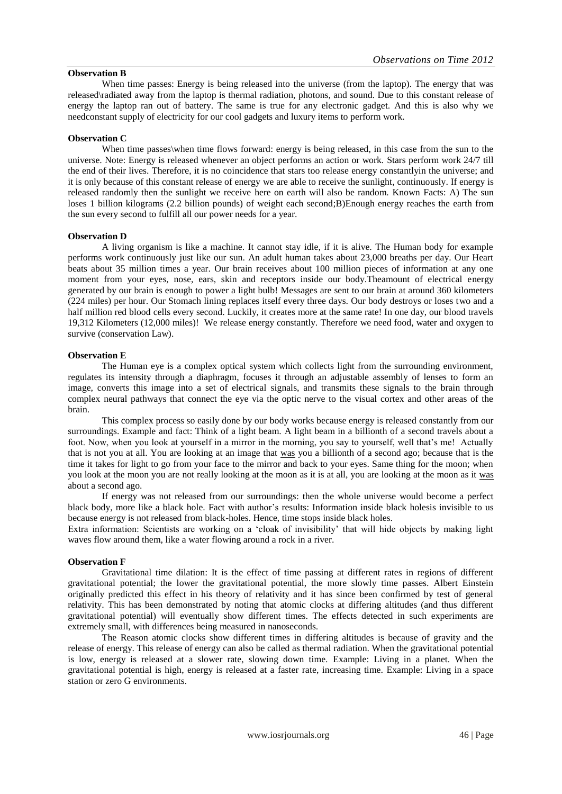## **Observation B**

When time passes: Energy is being released into the universe (from the laptop). The energy that was released\radiated away from the laptop is thermal radiation, photons, and sound. Due to this constant release of energy the laptop ran out of battery. The same is true for any electronic gadget. And this is also why we needconstant supply of electricity for our cool gadgets and luxury items to perform work.

#### **Observation C**

When time passes\when time flows forward: energy is being released, in this case from the sun to the universe. Note: Energy is released whenever an object performs an action or work. Stars perform work 24/7 till the end of their lives. Therefore, it is no coincidence that stars too release energy constantlyin the universe; and it is only because of this constant release of energy we are able to receive the sunlight, continuously. If energy is released randomly then the sunlight we receive here on earth will also be random. Known Facts: A) The sun loses 1 billion kilograms (2.2 billion pounds) of weight each second;B)Enough energy reaches the earth from the sun every second to fulfill all our power needs for a year.

#### **Observation D**

A living organism is like a machine. It cannot stay idle, if it is alive. The Human body for example performs work continuously just like our sun. An adult human takes about 23,000 breaths per day. Our Heart beats about 35 million times a year. Our brain receives about 100 million pieces of information at any one moment from your eyes, nose, ears, skin and receptors inside our body.Theamount of electrical energy generated by our brain is enough to power a light bulb! Messages are sent to our brain at around 360 kilometers (224 miles) per hour. Our Stomach lining replaces itself every three days. Our body destroys or loses two and a half million red blood cells every second. Luckily, it creates more at the same rate! In one day, our blood travels 19,312 Kilometers (12,000 miles)! We release energy constantly. Therefore we need food, water and oxygen to survive (conservation Law).

#### **Observation E**

The Human eye is a complex optical system which collects light from the surrounding environment, regulates its intensity through a diaphragm, focuses it through an adjustable assembly of lenses to form an image, converts this image into a set of electrical signals, and transmits these signals to the brain through complex neural pathways that connect the eye via the optic nerve to the visual cortex and other areas of the brain.

This complex process so easily done by our body works because energy is released constantly from our surroundings. Example and fact: Think of a light beam. A light beam in a billionth of a second travels about a foot. Now, when you look at yourself in a mirror in the morning, you say to yourself, well that's me! Actually that is not you at all. You are looking at an image that was you a billionth of a second ago; because that is the time it takes for light to go from your face to the mirror and back to your eyes. Same thing for the moon; when you look at the moon you are not really looking at the moon as it is at all, you are looking at the moon as it was about a second ago.

If energy was not released from our surroundings: then the whole universe would become a perfect black body, more like a black hole. Fact with author"s results: Information inside black holesis invisible to us because energy is not released from black-holes. Hence, time stops inside black holes.

Extra information: Scientists are working on a "cloak of invisibility" that will hide objects by making light waves flow around them, like a water flowing around a rock in a river.

#### **Observation F**

Gravitational time dilation: It is the effect of time passing at different rates in regions of different gravitational potential; the lower the gravitational potential, the more slowly time passes. Albert Einstein originally predicted this effect in his theory of relativity and it has since been confirmed by test of general relativity. This has been demonstrated by noting that atomic clocks at differing altitudes (and thus different gravitational potential) will eventually show different times. The effects detected in such experiments are extremely small, with differences being measured in nanoseconds.

The Reason atomic clocks show different times in differing altitudes is because of gravity and the release of energy. This release of energy can also be called as thermal radiation. When the gravitational potential is low, energy is released at a slower rate, slowing down time. Example: Living in a planet. When the gravitational potential is high, energy is released at a faster rate, increasing time. Example: Living in a space station or zero G environments.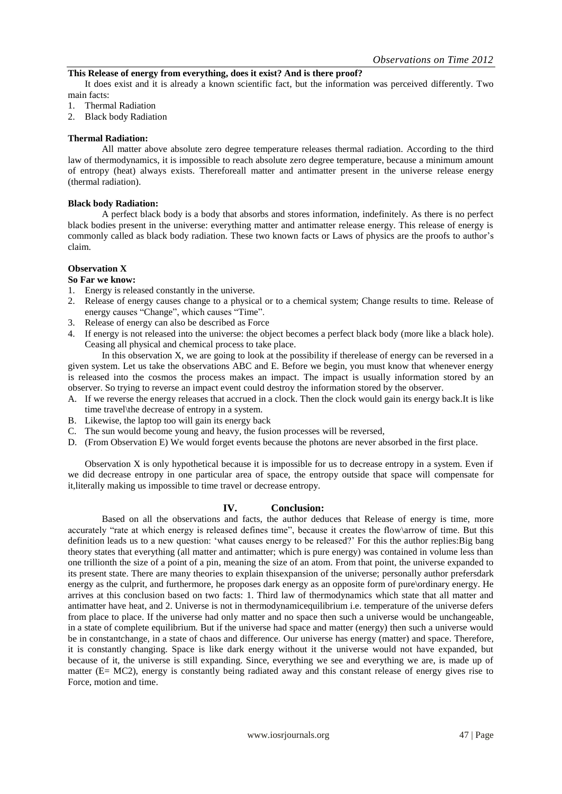#### **This Release of energy from everything, does it exist? And is there proof?**

It does exist and it is already a known scientific fact, but the information was perceived differently. Two main facts:

- 1. Thermal Radiation
- 2. Black body Radiation

### **Thermal Radiation:**

All matter above absolute zero degree temperature releases thermal radiation. According to the third law of thermodynamics, it is impossible to reach absolute zero degree temperature, because a minimum amount of entropy (heat) always exists. Thereforeall matter and antimatter present in the universe release energy (thermal radiation).

#### **Black body Radiation:**

A perfect black body is a body that absorbs and stores information, indefinitely. As there is no perfect black bodies present in the universe: everything matter and antimatter release energy. This release of energy is commonly called as black body radiation. These two known facts or Laws of physics are the proofs to author"s claim.

## **Observation X**

#### **So Far we know:**

- 1. Energy is released constantly in the universe.
- 2. Release of energy causes change to a physical or to a chemical system; Change results to time. Release of energy causes "Change", which causes "Time".
- 3. Release of energy can also be described as Force
- 4. If energy is not released into the universe: the object becomes a perfect black body (more like a black hole). Ceasing all physical and chemical process to take place.

In this observation X, we are going to look at the possibility if therelease of energy can be reversed in a given system. Let us take the observations ABC and E. Before we begin, you must know that whenever energy is released into the cosmos the process makes an impact. The impact is usually information stored by an observer. So trying to reverse an impact event could destroy the information stored by the observer.

- A. If we reverse the energy releases that accrued in a clock. Then the clock would gain its energy back.It is like time travel\the decrease of entropy in a system.
- B. Likewise, the laptop too will gain its energy back
- C. The sun would become young and heavy, the fusion processes will be reversed,
- D. (From Observation E) We would forget events because the photons are never absorbed in the first place.

Observation X is only hypothetical because it is impossible for us to decrease entropy in a system. Even if we did decrease entropy in one particular area of space, the entropy outside that space will compensate for it,literally making us impossible to time travel or decrease entropy.

## **IV. Conclusion:**

Based on all the observations and facts, the author deduces that Release of energy is time, more accurately "rate at which energy is released defines time", because it creates the flow\arrow of time. But this definition leads us to a new question: "what causes energy to be released?" For this the author replies:Big bang theory states that everything (all matter and antimatter; which is pure energy) was contained in volume less than one trillionth the size of a point of a pin, meaning the size of an atom. From that point, the universe expanded to its present state. There are many theories to explain thisexpansion of the universe; personally author prefersdark energy as the culprit, and furthermore, he proposes dark energy as an opposite form of pure\ordinary energy. He arrives at this conclusion based on two facts: 1. Third law of thermodynamics which state that all matter and antimatter have heat, and 2. Universe is not in thermodynamicequilibrium i.e. temperature of the universe defers from place to place. If the universe had only matter and no space then such a universe would be unchangeable, in a state of complete equilibrium. But if the universe had space and matter (energy) then such a universe would be in constantchange, in a state of chaos and difference. Our universe has energy (matter) and space. Therefore, it is constantly changing. Space is like dark energy without it the universe would not have expanded, but because of it, the universe is still expanding. Since, everything we see and everything we are, is made up of matter (E= MC2), energy is constantly being radiated away and this constant release of energy gives rise to Force, motion and time.